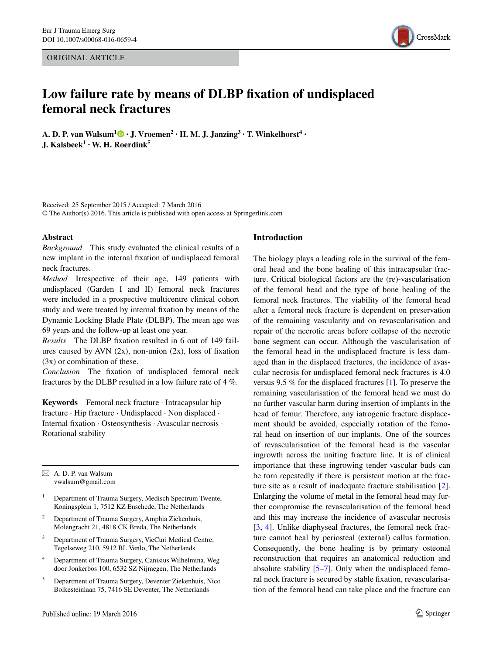ORIGINAL ARTICLE



# **Low failure rate by means of DLBP fixation of undisplaced femoral neck fractures**

**A. D. P.** van **Walsum**<sup>[1](http://orcid.org/0000-0002-4217-125X)</sup>  $\bullet$  **· J. Vroemen<sup>2</sup> · <b>H. M. J. Janzing**<sup>3</sup> · **T. Winkelhorst<sup>4</sup>** · **J. Kalsbeek**<sup>1</sup> **· W. H. Roerdink**<sup>5</sup>

Received: 25 September 2015 / Accepted: 7 March 2016 © The Author(s) 2016. This article is published with open access at Springerlink.com

#### **Abstract**

*Background* This study evaluated the clinical results of a new implant in the internal fixation of undisplaced femoral neck fractures.

*Method* Irrespective of their age, 149 patients with undisplaced (Garden I and II) femoral neck fractures were included in a prospective multicentre clinical cohort study and were treated by internal fixation by means of the Dynamic Locking Blade Plate (DLBP). The mean age was 69 years and the follow-up at least one year.

*Results* The DLBP fixation resulted in 6 out of 149 failures caused by AVN  $(2x)$ , non-union  $(2x)$ , loss of fixation (3x) or combination of these.

*Conclusion* The fixation of undisplaced femoral neck fractures by the DLBP resulted in a low failure rate of 4 %.

**Keywords** Femoral neck fracture · Intracapsular hip fracture · Hip fracture · Undisplaced · Non displaced · Internal fixation · Osteosynthesis · Avascular necrosis · Rotational stability

 $\boxtimes$  A. D. P. van Walsum vwalsum@gmail.com

- <sup>1</sup> Department of Trauma Surgery, Medisch Spectrum Twente, Koningsplein 1, 7512 KZ Enschede, The Netherlands
- <sup>2</sup> Department of Trauma Surgery, Amphia Ziekenhuis, Molengracht 21, 4818 CK Breda, The Netherlands
- <sup>3</sup> Department of Trauma Surgery, VieCuri Medical Centre, Tegelseweg 210, 5912 BL Venlo, The Netherlands
- <sup>4</sup> Department of Trauma Surgery, Canisius Wilhelmina, Weg door Jonkerbos 100, 6532 SZ Nijmegen, The Netherlands
- <sup>5</sup> Department of Trauma Surgery, Deventer Ziekenhuis, Nico Bolkesteinlaan 75, 7416 SE Deventer, The Netherlands

#### **Introduction**

The biology plays a leading role in the survival of the femoral head and the bone healing of this intracapsular fracture. Critical biological factors are the (re)-vascularisation of the femoral head and the type of bone healing of the femoral neck fractures. The viability of the femoral head after a femoral neck fracture is dependent on preservation of the remaining vascularity and on revascularisation and repair of the necrotic areas before collapse of the necrotic bone segment can occur. Although the vascularisation of the femoral head in the undisplaced fracture is less damaged than in the displaced fractures, the incidence of avascular necrosis for undisplaced femoral neck fractures is 4.0 versus 9.5 % for the displaced fractures [[1\]](#page-4-0). To preserve the remaining vascularisation of the femoral head we must do no further vascular harm during insertion of implants in the head of femur. Therefore, any iatrogenic fracture displacement should be avoided, especially rotation of the femoral head on insertion of our implants. One of the sources of revascularisation of the femoral head is the vascular ingrowth across the uniting fracture line. It is of clinical importance that these ingrowing tender vascular buds can be torn repeatedly if there is persistent motion at the fracture site as a result of inadequate fracture stabilisation [\[2](#page-4-1)]. Enlarging the volume of metal in the femoral head may further compromise the revascularisation of the femoral head and this may increase the incidence of avascular necrosis [\[3](#page-4-2), [4](#page-4-3)]. Unlike diaphyseal fractures, the femoral neck fracture cannot heal by periosteal (external) callus formation. Consequently, the bone healing is by primary osteonal reconstruction that requires an anatomical reduction and absolute stability [[5–](#page-4-4)[7\]](#page-5-0). Only when the undisplaced femoral neck fracture is secured by stable fixation, revascularisation of the femoral head can take place and the fracture can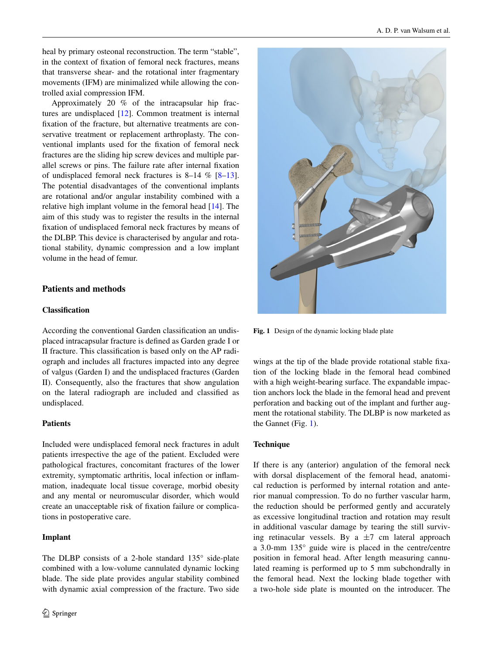heal by primary osteonal reconstruction. The term "stable". in the context of fixation of femoral neck fractures, means that transverse shear- and the rotational inter fragmentary movements (IFM) are minimalized while allowing the controlled axial compression IFM.

Approximately 20 % of the intracapsular hip fractures are undisplaced [\[12](#page-5-1)]. Common treatment is internal fixation of the fracture, but alternative treatments are conservative treatment or replacement arthroplasty. The conventional implants used for the fixation of femoral neck fractures are the sliding hip screw devices and multiple parallel screws or pins. The failure rate after internal fixation of undisplaced femoral neck fractures is  $8-14$  %  $[8-13]$  $[8-13]$ . The potential disadvantages of the conventional implants are rotational and/or angular instability combined with a relative high implant volume in the femoral head [\[14](#page-5-4)]. The aim of this study was to register the results in the internal fixation of undisplaced femoral neck fractures by means of the DLBP. This device is characterised by angular and rotational stability, dynamic compression and a low implant volume in the head of femur.

## **Patients and methods**

#### **Classification**

According the conventional Garden classification an undisplaced intracapsular fracture is defined as Garden grade I or II fracture. This classification is based only on the AP radiograph and includes all fractures impacted into any degree of valgus (Garden I) and the undisplaced fractures (Garden II). Consequently, also the fractures that show angulation on the lateral radiograph are included and classified as undisplaced.

## **Patients**

Included were undisplaced femoral neck fractures in adult patients irrespective the age of the patient. Excluded were pathological fractures, concomitant fractures of the lower extremity, symptomatic arthritis, local infection or inflammation, inadequate local tissue coverage, morbid obesity and any mental or neuromuscular disorder, which would create an unacceptable risk of fixation failure or complications in postoperative care.

#### **Implant**

The DLBP consists of a 2-hole standard 135° side-plate combined with a low-volume cannulated dynamic locking blade. The side plate provides angular stability combined with dynamic axial compression of the fracture. Two side



**Fig. 1** Design of the dynamic locking blade plate

<span id="page-1-0"></span>wings at the tip of the blade provide rotational stable fixation of the locking blade in the femoral head combined with a high weight-bearing surface. The expandable impaction anchors lock the blade in the femoral head and prevent perforation and backing out of the implant and further augment the rotational stability. The DLBP is now marketed as the Gannet (Fig. [1\)](#page-1-0).

### **Technique**

If there is any (anterior) angulation of the femoral neck with dorsal displacement of the femoral head, anatomical reduction is performed by internal rotation and anterior manual compression. To do no further vascular harm, the reduction should be performed gently and accurately as excessive longitudinal traction and rotation may result in additional vascular damage by tearing the still surviving retinacular vessels. By a  $\pm$ 7 cm lateral approach a 3.0-mm 135° guide wire is placed in the centre/centre position in femoral head. After length measuring cannulated reaming is performed up to 5 mm subchondrally in the femoral head. Next the locking blade together with a two-hole side plate is mounted on the introducer. The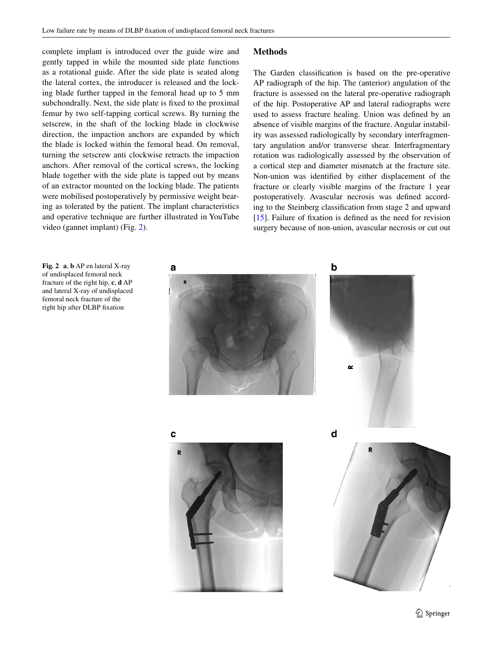complete implant is introduced over the guide wire and gently tapped in while the mounted side plate functions as a rotational guide. After the side plate is seated along the lateral cortex, the introducer is released and the locking blade further tapped in the femoral head up to 5 mm subchondrally. Next, the side plate is fixed to the proximal femur by two self-tapping cortical screws. By turning the setscrew, in the shaft of the locking blade in clockwise direction, the impaction anchors are expanded by which the blade is locked within the femoral head. On removal, turning the setscrew anti clockwise retracts the impaction anchors. After removal of the cortical screws, the locking blade together with the side plate is tapped out by means of an extractor mounted on the locking blade. The patients were mobilised postoperatively by permissive weight bearing as tolerated by the patient. The implant characteristics and operative technique are further illustrated in YouTube video (gannet implant) (Fig. [2\)](#page-2-0).

#### **Methods**

The Garden classification is based on the pre-operative AP radiograph of the hip. The (anterior) angulation of the fracture is assessed on the lateral pre-operative radiograph of the hip. Postoperative AP and lateral radiographs were used to assess fracture healing. Union was defined by an absence of visible margins of the fracture. Angular instability was assessed radiologically by secondary interfragmentary angulation and/or transverse shear. Interfragmentary rotation was radiologically assessed by the observation of a cortical step and diameter mismatch at the fracture site. Non-union was identified by either displacement of the fracture or clearly visible margins of the fracture 1 year postoperatively. Avascular necrosis was defined according to the Steinberg classification from stage 2 and upward [\[15](#page-5-5)]. Failure of fixation is defined as the need for revision surgery because of non-union, avascular necrosis or cut out

<span id="page-2-0"></span>**Fig. 2 a**, **b** AP en lateral X-ray of undisplaced femoral neck fracture of the right hip, **c**, **d** AP and lateral X-ray of undisplaced femoral neck fracture of the right hip after DLBP fixation

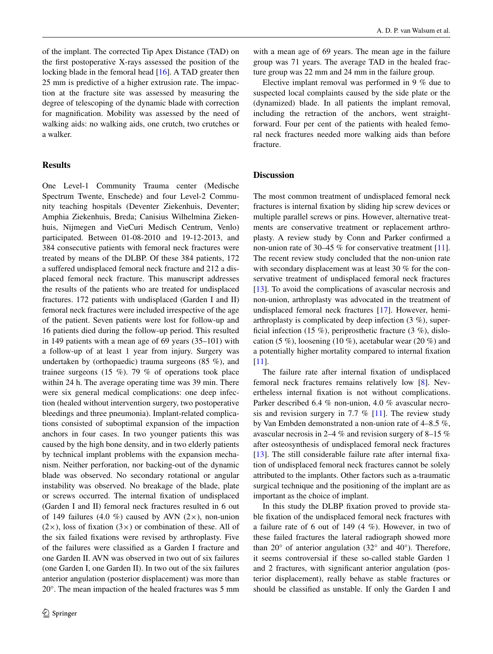of the implant. The corrected Tip Apex Distance (TAD) on the first postoperative X-rays assessed the position of the locking blade in the femoral head [[16\]](#page-5-6). A TAD greater then 25 mm is predictive of a higher extrusion rate. The impaction at the fracture site was assessed by measuring the degree of telescoping of the dynamic blade with correction for magnification. Mobility was assessed by the need of walking aids: no walking aids, one crutch, two crutches or a walker.

#### **Results**

One Level-1 Community Trauma center (Medische Spectrum Twente, Enschede) and four Level-2 Community teaching hospitals (Deventer Ziekenhuis, Deventer; Amphia Ziekenhuis, Breda; Canisius Wilhelmina Ziekenhuis, Nijmegen and VieCuri Medisch Centrum, Venlo) participated. Between 01-08-2010 and 19-12-2013, and 384 consecutive patients with femoral neck fractures were treated by means of the DLBP. Of these 384 patients, 172 a suffered undisplaced femoral neck fracture and 212 a displaced femoral neck fracture. This manuscript addresses the results of the patients who are treated for undisplaced fractures. 172 patients with undisplaced (Garden I and II) femoral neck fractures were included irrespective of the age of the patient. Seven patients were lost for follow-up and 16 patients died during the follow-up period. This resulted in 149 patients with a mean age of 69 years (35–101) with a follow-up of at least 1 year from injury. Surgery was undertaken by (orthopaedic) trauma surgeons (85 %), and trainee surgeons (15 %). 79 % of operations took place within 24 h. The average operating time was 39 min. There were six general medical complications: one deep infection (healed without intervention surgery, two postoperative bleedings and three pneumonia). Implant-related complications consisted of suboptimal expansion of the impaction anchors in four cases. In two younger patients this was caused by the high bone density, and in two elderly patients by technical implant problems with the expansion mechanism. Neither perforation, nor backing-out of the dynamic blade was observed. No secondary rotational or angular instability was observed. No breakage of the blade, plate or screws occurred. The internal fixation of undisplaced (Garden I and II) femoral neck fractures resulted in 6 out of 149 failures (4.0 %) caused by AVN (2 $\times$ ), non-union  $(2\times)$ , loss of fixation  $(3\times)$  or combination of these. All of the six failed fixations were revised by arthroplasty. Five of the failures were classified as a Garden I fracture and one Garden II. AVN was observed in two out of six failures (one Garden I, one Garden II). In two out of the six failures anterior angulation (posterior displacement) was more than 20°. The mean impaction of the healed fractures was 5 mm

with a mean age of 69 years. The mean age in the failure group was 71 years. The average TAD in the healed fracture group was 22 mm and 24 mm in the failure group.

Elective implant removal was performed in 9 % due to suspected local complaints caused by the side plate or the (dynamized) blade. In all patients the implant removal, including the retraction of the anchors, went straightforward. Four per cent of the patients with healed femoral neck fractures needed more walking aids than before fracture.

# **Discussion**

The most common treatment of undisplaced femoral neck fractures is internal fixation by sliding hip screw devices or multiple parallel screws or pins. However, alternative treatments are conservative treatment or replacement arthroplasty. A review study by Conn and Parker confirmed a non-union rate of 30–45 % for conservative treatment [\[11](#page-5-7)]. The recent review study concluded that the non-union rate with secondary displacement was at least 30 % for the conservative treatment of undisplaced femoral neck fractures [\[13](#page-5-3)]. To avoid the complications of avascular necrosis and non-union, arthroplasty was advocated in the treatment of undisplaced femoral neck fractures [[17\]](#page-5-8). However, hemiarthroplasty is complicated by deep infection (3 %), superficial infection (15 %), periprosthetic fracture (3 %), dislocation (5 %), loosening (10 %), acetabular wear (20 %) and a potentially higher mortality compared to internal fixation [\[11](#page-5-7)].

The failure rate after internal fixation of undisplaced femoral neck fractures remains relatively low [[8\]](#page-5-2). Nevertheless internal fixation is not without complications. Parker described 6.4 % non-union, 4.0 % avascular necrosis and revision surgery in 7.7 % [[11\]](#page-5-7). The review study by Van Embden demonstrated a non-union rate of 4–8.5 %, avascular necrosis in 2–4 % and revision surgery of 8–15 % after osteosynthesis of undisplaced femoral neck fractures [\[13](#page-5-3)]. The still considerable failure rate after internal fixation of undisplaced femoral neck fractures cannot be solely attributed to the implants. Other factors such as a-traumatic surgical technique and the positioning of the implant are as important as the choice of implant.

In this study the DLBP fixation proved to provide stable fixation of the undisplaced femoral neck fractures with a failure rate of 6 out of 149 (4 %). However, in two of these failed fractures the lateral radiograph showed more than 20° of anterior angulation (32° and 40°). Therefore, it seems controversial if these so-called stable Garden 1 and 2 fractures, with significant anterior angulation (posterior displacement), really behave as stable fractures or should be classified as unstable. If only the Garden I and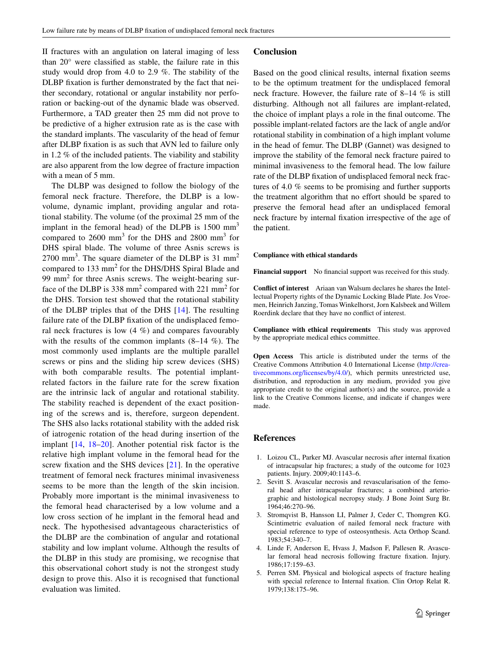II fractures with an angulation on lateral imaging of less than 20° were classified as stable, the failure rate in this study would drop from 4.0 to 2.9 %. The stability of the DLBP fixation is further demonstrated by the fact that neither secondary, rotational or angular instability nor perforation or backing-out of the dynamic blade was observed. Furthermore, a TAD greater then 25 mm did not prove to be predictive of a higher extrusion rate as is the case with the standard implants. The vascularity of the head of femur after DLBP fixation is as such that AVN led to failure only in 1.2 % of the included patients. The viability and stability are also apparent from the low degree of fracture impaction with a mean of 5 mm.

The DLBP was designed to follow the biology of the femoral neck fracture. Therefore, the DLBP is a lowvolume, dynamic implant, providing angular and rotational stability. The volume (of the proximal 25 mm of the implant in the femoral head) of the DLPB is  $1500 \text{ mm}^3$ compared to  $2600 \text{ mm}^3$  for the DHS and  $2800 \text{ mm}^3$  for DHS spiral blade. The volume of three Asnis screws is  $2700$  mm<sup>3</sup>. The square diameter of the DLBP is 31 mm<sup>2</sup> compared to  $133 \text{ mm}^2$  for the DHS/DHS Spiral Blade and 99 mm<sup>2</sup> for three Asnis screws. The weight-bearing surface of the DLBP is 338 mm<sup>2</sup> compared with 221 mm<sup>2</sup> for the DHS. Torsion test showed that the rotational stability of the DLBP triples that of the DHS [[14](#page-5-4)]. The resulting failure rate of the DLBP fixation of the undisplaced femoral neck fractures is low (4 %) and compares favourably with the results of the common implants  $(8-14\%)$ . The most commonly used implants are the multiple parallel screws or pins and the sliding hip screw devices (SHS) with both comparable results. The potential implantrelated factors in the failure rate for the screw fixation are the intrinsic lack of angular and rotational stability. The stability reached is dependent of the exact positioning of the screws and is, therefore, surgeon dependent. The SHS also lacks rotational stability with the added risk of iatrogenic rotation of the head during insertion of the implant [[14,](#page-5-4) [18–](#page-5-9)[20\]](#page-5-10). Another potential risk factor is the relative high implant volume in the femoral head for the screw fixation and the SHS devices [[21\]](#page-5-11). In the operative treatment of femoral neck fractures minimal invasiveness seems to be more than the length of the skin incision. Probably more important is the minimal invasiveness to the femoral head characterised by a low volume and a low cross section of he implant in the femoral head and neck. The hypothesised advantageous characteristics of the DLBP are the combination of angular and rotational stability and low implant volume. Although the results of the DLBP in this study are promising, we recognise that this observational cohort study is not the strongest study design to prove this. Also it is recognised that functional evaluation was limited.

#### **Conclusion**

Based on the good clinical results, internal fixation seems to be the optimum treatment for the undisplaced femoral neck fracture. However, the failure rate of 8–14 % is still disturbing. Although not all failures are implant-related, the choice of implant plays a role in the final outcome. The possible implant-related factors are the lack of angle and/or rotational stability in combination of a high implant volume in the head of femur. The DLBP (Gannet) was designed to improve the stability of the femoral neck fracture paired to minimal invasiveness to the femoral head. The low failure rate of the DLBP fixation of undisplaced femoral neck fractures of 4.0 % seems to be promising and further supports the treatment algorithm that no effort should be spared to preserve the femoral head after an undisplaced femoral neck fracture by internal fixation irrespective of the age of the patient.

#### **Compliance with ethical standards**

**Financial support** No financial support was received for this study.

**Conflict of interest** Ariaan van Walsum declares he shares the Intellectual Property rights of the Dynamic Locking Blade Plate. Jos Vroemen, Heinrich Janzing, Tomas Winkelhorst, Jorn Kalsbeek and Willem Roerdink declare that they have no conflict of interest.

**Compliance with ethical requirements** This study was approved by the appropriate medical ethics committee.

**Open Access** This article is distributed under the terms of the Creative Commons Attribution 4.0 International License ([http://crea](http://creativecommons.org/licenses/by/4.0/)[tivecommons.org/licenses/by/4.0/](http://creativecommons.org/licenses/by/4.0/)), which permits unrestricted use, distribution, and reproduction in any medium, provided you give appropriate credit to the original author(s) and the source, provide a link to the Creative Commons license, and indicate if changes were made.

### **References**

- <span id="page-4-0"></span>1. Loizou CL, Parker MJ. Avascular necrosis after internal fixation of intracapsular hip fractures; a study of the outcome for 1023 patients. Injury. 2009;40:1143–6.
- <span id="page-4-1"></span>2. Sevitt S. Avascular necrosis and revascularisation of the femoral head after intracapsular fractures; a combined arteriographic and histological necropsy study. J Bone Joint Surg Br. 1964;46:270–96.
- <span id="page-4-2"></span>3. Stromqvist B, Hansson LI, Palmer J, Ceder C, Thomgren KG. Scintimetric evaluation of nailed femoral neck fracture with special reference to type of osteosynthesis. Acta Orthop Scand. 1983;54:340–7.
- <span id="page-4-3"></span>4. Linde F, Anderson E, Hvass J, Madson F, Pallesen R. Avascular femoral head necrosis following fracture fixation. Injury. 1986;17:159–63.
- <span id="page-4-4"></span>5. Perren SM. Physical and biological aspects of fracture healing with special reference to Internal fixation. Clin Ortop Relat R. 1979;138:175–96.